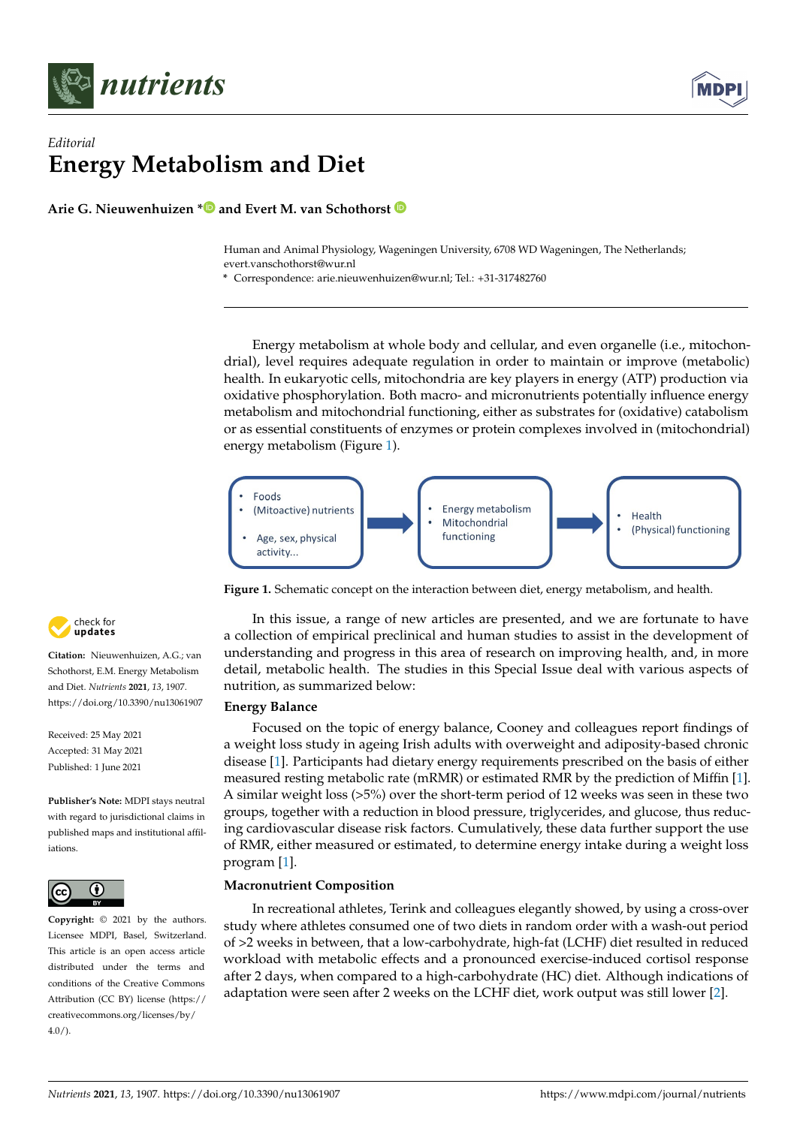

## *Editorial* **Energy Metabolism and Diet**

Arie G. Nieuwenhuizen **[\\*](https://orcid.org/0000-0003-0999-5422)** and Evert M. van Schothorst

Human and Animal Physiology, Wageningen University, 6708 WD Wageningen, The Netherlands; evert.vanschothorst@wur.nl **Energy Metabolism and Diet**

Human and Animal Physiology, Wageningen University, 6708 WD Wageningen, The Netherlands;

**\*** Correspondence: arie.nieuwenhuizen@wur.nl; Tel.: +31-317482760

Energy metabolism at whole body and cellular, and even organelle (i.e., mitochondrial), level requires adequate regulation in order to maintain or improve (metabolic) drial), level requires adequate regulation in order to maintain or improve (metabolic)<br>health. In eukaryotic cells, mitochondria are key players in energy (ATP) production via health. In early one cells, mitochondria are key players in energy (ATP) production via<br>oxidative phosphorylation. Both macro- and micronutrients potentially influence energy oxidative phosphorylation. Both macro- and micronutrients potentially influence energy<br>metabolism and mitochondrial functioning, either as substrates for (oxidative) catabolism metabolism and mitochondrial ranchorang, child as substrates for (oxidative) catabolism<br>or as essential constituents of enzymes or protein complexes involved in (mitochondrial) energy metabolism (Figure [1\)](#page-0-0). energy metabolism (Figure 1). or as essential constituents of enzymes or protein complexes involved in (mitochondrial)

<span id="page-0-0"></span>

**Figure 1.** Schematic concept on the interaction between diet, energy metabolism, and health. **Figure 1.** Schematic concept on the interaction between diet, energy metabolism, and health.

In this issue, a range of new articles are presented, and we are fortunate to have a collection of empirical preclinical and human studies to assist in the development of understanding and progress in this area of research on improving health, and, in more detail, metabolic health. The studies in this Special Issue deal with various aspects of nutrition, as summarized below:

# **Energy Balance Energy Balance**

Focused on the topic of energy balance, Cooney and colleagues report findings of a a weight loss study in ageing Irish adults with overweight and adiposity-based chronic weight loss study in ageing Irish adults with overweight and adiposity-based chronic dis-disease [\[1\]](#page-2-0). Participants had dietary energy requirements prescribed on the basis of either ease [1]. Participants had dietary energy requirements prescribed on the basis of either measured resting metabolic rate (mRMR) or estimated RMR by the prediction of Miffin [\[1\]](#page-2-0).  $\frac{1}{12}$  similar weight loss ( $\frac{5}{12}$  over the short-term period of 12 weeks was seen in these two groups, together with a reduction in blood pressure, triglycerides, and glucose, thus reduc-<br>. reducing cardiovascular disease risk factors. Cumulatively, these data further support the of RMR, either measured or estimated, to determine energy intake during a weight loss program [\[1\]](#page-2-0). Focused on the topic of energy balance, Cooney and colleagues report findings of A similar weight loss (>5%) over the short-term period of 12 weeks was seen in these two ing cardiovascular disease risk factors. Cumulatively, these data further support the use

## **Macronutrient Composition**

In recreational athletes, Terink and colleagues elegantly showed, by using a cross-over study where athletes consumed one of two diets in random order with a wash-out period of >2 weeks in between, that a low-carbohydrate, high-fat (LCHF) diet resulted in reduced workload with metabolic effects and a pronounced exercise-induced cortisol response after 2 days, when compared to a high-carbohydrate (HC) diet. Although indications of adaptation were seen after 2 weeks on the LCHF diet, work output was still lower [\[2\]](#page-2-1).  $t_1$  were seen after 2 weeks on the LCHF diet, work output was still lowered was still lowered was still lowered was still lowered was still lowered was still lowered was still lowered was still lowered was still lowered



**Citation:** Nieuwenhuizen, A.G.; van Schothorst, E.M. Energy Metabolism and Diet. *Nutrients* **2021**, *13*, 1907. <https://doi.org/10.3390/nu13061907>

Received: 25 May 2021 Accepted: 31 May 2021 Published: 1 June 2021

**Publisher's Note:** MDPI stays neutral with regard to jurisdictional claims in published maps and institutional affiliations. claims in published maps and institu-



**Copyright:** © 2021 by the authors. **Copyright:** © 2021 by the authors. Licensee MDPI, Basel, Switzerland. This article is an open access article distributed under the terms and conditions of the Creative Commons Attribution (CC BY) license (https:[/](https://creativecommons.org/licenses/by/4.0/)/ [creativecommons.org/licenses/by/](https://creativecommons.org/licenses/by/4.0/)  $4.0/$ ).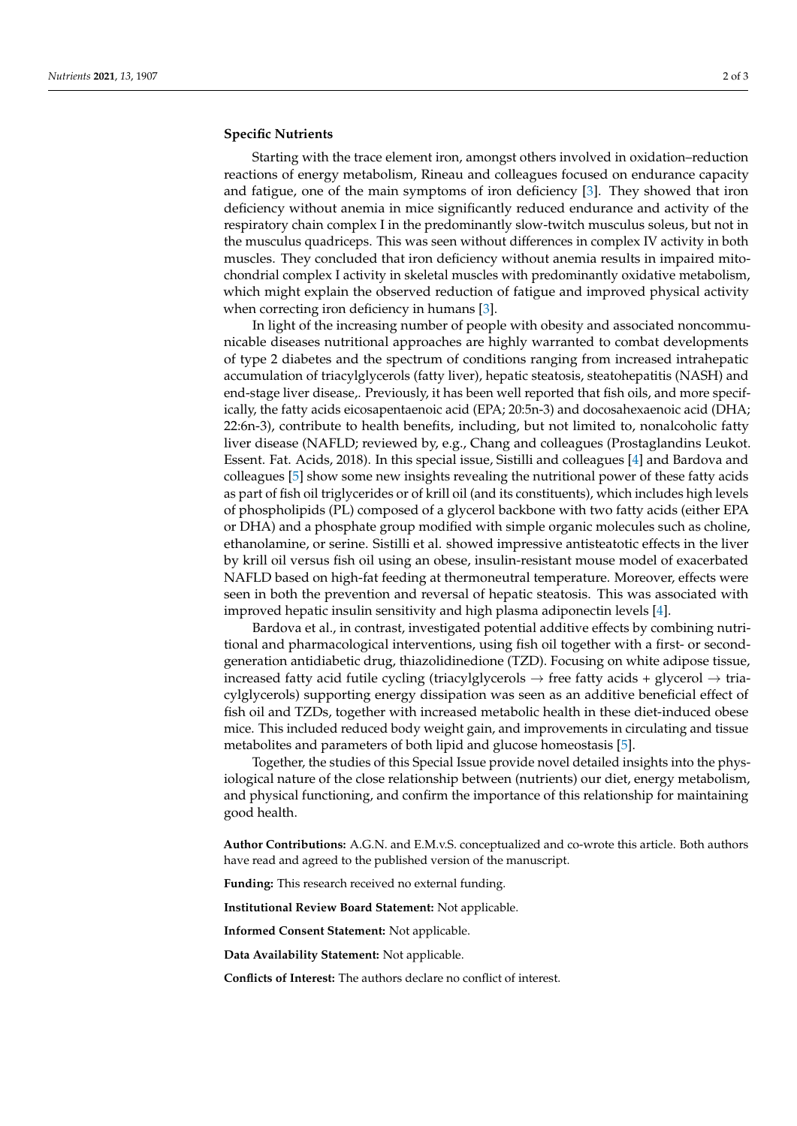### **Specific Nutrients**

Starting with the trace element iron, amongst others involved in oxidation–reduction reactions of energy metabolism, Rineau and colleagues focused on endurance capacity and fatigue, one of the main symptoms of iron deficiency [\[3\]](#page-2-2). They showed that iron deficiency without anemia in mice significantly reduced endurance and activity of the respiratory chain complex I in the predominantly slow-twitch musculus soleus, but not in the musculus quadriceps. This was seen without differences in complex IV activity in both muscles. They concluded that iron deficiency without anemia results in impaired mitochondrial complex I activity in skeletal muscles with predominantly oxidative metabolism, which might explain the observed reduction of fatigue and improved physical activity when correcting iron deficiency in humans [\[3\]](#page-2-2).

In light of the increasing number of people with obesity and associated noncommunicable diseases nutritional approaches are highly warranted to combat developments of type 2 diabetes and the spectrum of conditions ranging from increased intrahepatic accumulation of triacylglycerols (fatty liver), hepatic steatosis, steatohepatitis (NASH) and end-stage liver disease,. Previously, it has been well reported that fish oils, and more specifically, the fatty acids eicosapentaenoic acid (EPA; 20:5n-3) and docosahexaenoic acid (DHA; 22:6n-3), contribute to health benefits, including, but not limited to, nonalcoholic fatty liver disease (NAFLD; reviewed by, e.g., Chang and colleagues (Prostaglandins Leukot. Essent. Fat. Acids, 2018). In this special issue, Sistilli and colleagues [\[4\]](#page-2-3) and Bardova and colleagues [\[5\]](#page-2-4) show some new insights revealing the nutritional power of these fatty acids as part of fish oil triglycerides or of krill oil (and its constituents), which includes high levels of phospholipids (PL) composed of a glycerol backbone with two fatty acids (either EPA or DHA) and a phosphate group modified with simple organic molecules such as choline, ethanolamine, or serine. Sistilli et al. showed impressive antisteatotic effects in the liver by krill oil versus fish oil using an obese, insulin-resistant mouse model of exacerbated NAFLD based on high-fat feeding at thermoneutral temperature. Moreover, effects were seen in both the prevention and reversal of hepatic steatosis. This was associated with improved hepatic insulin sensitivity and high plasma adiponectin levels [\[4\]](#page-2-3).

Bardova et al., in contrast, investigated potential additive effects by combining nutritional and pharmacological interventions, using fish oil together with a first- or secondgeneration antidiabetic drug, thiazolidinedione (TZD). Focusing on white adipose tissue, increased fatty acid futile cycling (triacylglycerols  $\rightarrow$  free fatty acids + glycerol  $\rightarrow$  triacylglycerols) supporting energy dissipation was seen as an additive beneficial effect of fish oil and TZDs, together with increased metabolic health in these diet-induced obese mice. This included reduced body weight gain, and improvements in circulating and tissue metabolites and parameters of both lipid and glucose homeostasis [\[5\]](#page-2-4).

Together, the studies of this Special Issue provide novel detailed insights into the physiological nature of the close relationship between (nutrients) our diet, energy metabolism, and physical functioning, and confirm the importance of this relationship for maintaining good health.

**Author Contributions:** A.G.N. and E.M.v.S. conceptualized and co-wrote this article. Both authors have read and agreed to the published version of the manuscript.

**Funding:** This research received no external funding.

**Institutional Review Board Statement:** Not applicable.

**Informed Consent Statement:** Not applicable.

**Data Availability Statement:** Not applicable.

**Conflicts of Interest:** The authors declare no conflict of interest.